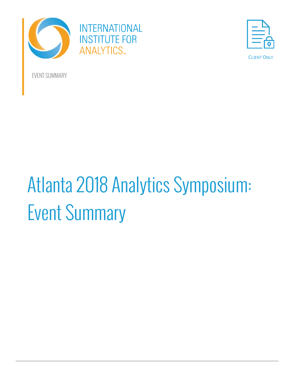



CLIENT ONLY

EVENT SUMMARY

# Atlanta 2018 Analytics Symposium: Event Summary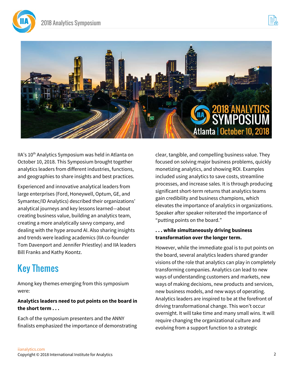





IIA's 10<sup>th</sup> Analytics Symposium was held in Atlanta on October 10, 2018. This Symposium brought together analytics leaders from different industries, functions, and geographies to share insights and best practices.

Experienced and innovative analytical leaders from large enterprises (Ford, Honeywell, Optum, GE, and Symantec/ID Analytics) described their organizations' analytical journeys and key lessons learned—about creating business value, building an analytics team, creating a more analytically savvy company, and dealing with the hype around AI. Also sharing insights and trends were leading academics (IIA co-founder Tom Davenport and Jennifer Priestley) and IIA leaders Bill Franks and Kathy Koontz.

# Key Themes

Among key themes emerging from this symposium were:

#### **Analytics leaders need to put points on the board in the short term . . .**

Each of the symposium presenters and the ANNY finalists emphasized the importance of demonstrating clear, tangible, and compelling business value. They focused on solving major business problems, quickly monetizing analytics, and showing ROI. Examples included using analytics to save costs, streamline processes, and increase sales. It is through producing significant short-term returns that analytics teams gain credibility and business champions, which elevates the importance of analytics in organizations. Speaker after speaker reiterated the importance of "putting points on the board."

#### **. . . while simultaneously driving business transformation over the longer term.**

However, while the immediate goal is to put points on the board, several analytics leaders shared grander visions of the role that analytics can play in completely transforming companies. Analytics can lead to new ways of understanding customers and markets, new ways of making decisions, new products and services, new business models, and new ways of operating. Analytics leaders are inspired to be at the forefront of driving transformational change. This won't occur overnight. It will take time and many small wins. It will require changing the organizational culture and evolving from a support function to a strategic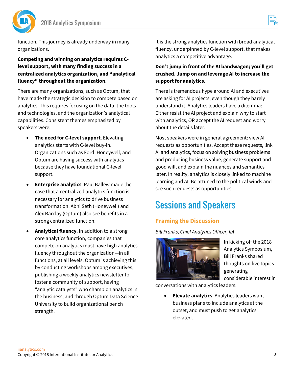



function. This journey is already underway in many organizations.

**Competing and winning on analytics requires Clevel support, with many finding success in a centralized analytics organization, and "analytical fluency" throughout the organization.**

There are many organizations, such as Optum, that have made the strategic decision to compete based on analytics. This requires focusing on the data, the tools and technologies, and the organization's analytical capabilities. Consistent themes emphasized by speakers were:

- **The need for C-level support**. Elevating analytics starts with C-level buy-in. Organizations such as Ford, Honeywell, and Optum are having success with analytics because they have foundational C-level support.
- **Enterprise analytics**. Paul Ballew made the case that a centralized analytics function is necessary for analytics to drive business transformation. Abhi Seth (Honeywell) and Alex Barclay (Optum) also see benefits in a strong centralized function.
- **Analytical fluency**. In addition to a strong core analytics function, companies that compete on analytics must have high analytics fluency throughout the organization—in all functions, at all levels. Optum is achieving this by conducting workshops among executives, publishing a weekly analytics newsletter to foster a community of support, having "analytic catalysts" who champion analytics in the business, and through Optum Data Science University to build organizational bench strength.

It is the strong analytics function with broad analytical fluency, underpinned by C-level support, that makes analytics a competitive advantage.

#### **Don't jump in front of the AI bandwagon; you'll get crushed. Jump on and leverage AI to increase the support for analytics.**

There is tremendous hype around AI and executives are asking for AI projects, even though they barely understand it. Analytics leaders have a dilemma: Either resist the AI project and explain why to start with analytics, OR accept the AI request and worry about the details later.

Most speakers were in general agreement: view AI requests as opportunities. Accept these requests, link AI and analytics, focus on solving business problems and producing business value, generate support and good will, and explain the nuances and semantics later. In reality, analytics is closely linked to machine learning and AI. Be attuned to the political winds and see such requests as opportunities.

# Sessions and Speakers

## **Framing the Discussion**

*Bill Franks, Chief Analytics Officer, IIA*



In kicking off the 2018 Analytics Symposium, Bill Franks shared thoughts on five topics generating considerable interest in

conversations with analytics leaders:

• **Elevate analytics**. Analytics leaders want business plans to include analytics at the outset, and must push to get analytics elevated.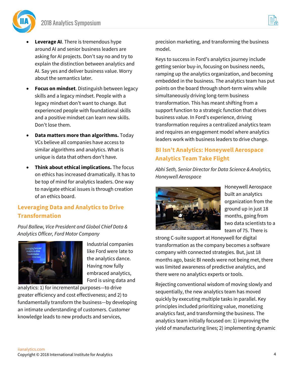

- **Leverage AI**. There is tremendous hype around AI and senior business leaders are asking for AI projects. Don't say no and try to explain the distinction between analytics and AI. Say yes and deliver business value. Worry about the semantics later.
- **Focus on mindset**. Distinguish between legacy skills and a legacy mindset. People with a legacy mindset don't want to change. But experienced people with foundational skills and a positive mindset can learn new skills. Don't lose them.
- **Data matters more than algorithms.** Today VCs believe all companies have access to similar algorithms and analytics. What is unique is data that others don't have.
- **Think about ethical implications.** The focus on ethics has increased dramatically. It has to be top of mind for analytics leaders. One way to navigate ethical issues is through creation of an ethics board.

#### **Leveraging Data and Analytics to Drive Transformation**

*Paul Ballew, Vice President and Global Chief Data & Analytics Officer, Ford Motor Company*



Industrial companies like Ford were late to the analytics dance. Having now fully embraced analytics, Ford is using data and

analytics: 1) for incremental purposes—to drive greater efficiency and cost effectiveness; and 2) to fundamentally transform the business—by developing an intimate understanding of customers. Customer knowledge leads to new products and services,

precision marketing, and transforming the business model.

Keys to success in Ford's analytics journey include getting senior buy-in, focusing on business needs, ramping up the analytics organization, and becoming embedded in the business. The analytics team has put points on the board through short-term wins while simultaneously driving long-term business transformation. This has meant shifting from a support function to a strategic function that drives business value. In Ford's experience, driving transformation requires a centralized analytics team and requires an engagement model where analytics leaders work with business leaders to drive change.

#### **BI Isn't Analytics: Honeywell Aerospace Analytics Team Take Flight**

*Abhi Seth, Senior Director for Data Science & Analytics, Honeywell Aerospace*



Honeywell Aerospace built an analytics organization from the ground up in just 18 months, going from two data scientists to a team of 75. There is

strong C-suite support at Honeywell for digital transformation as the company becomes a software company with connected strategies. But, just 18 months ago, basic BI needs were not being met, there was limited awareness of predictive analytics, and there were no analytics experts or tools.

Rejecting conventional wisdom of moving slowly and sequentially, the new analytics team has moved quickly by executing multiple tasks in parallel. Key principles included prioritizing value, monetizing analytics fast, and transforming the business. The analytics team initially focused on: 1) improving the yield of manufacturing lines; 2) implementing dynamic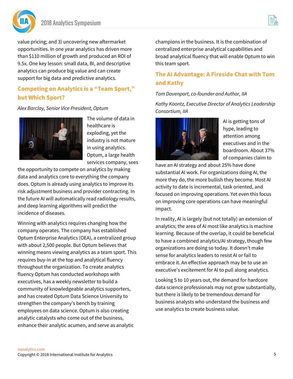

value pricing; and 3) uncovering new aftermarket opportunities. In one year analytics has driven more than \$110 million of growth and produced an ROI of 9.5x. One key lesson: small data, BI, and descriptive analytics can produce big value and can create support for big data and predictive analytics.

#### **Competing on Analytics is a "Team Sport," but Which Sport?**

*Alex Barclay, Senior Vice President, Optum*



The volume of data in healthcare is exploding, yet the industry is not mature in using analytics. Optum, a large health services company, sees

the opportunity to compete on analytics by making data and analytics core to everything the company does. Optum is already using analytics to improve its risk adjustment business and provider contracting. In the future AI will automatically read radiology results, and deep learning algorithms will predict the incidence of diseases.

Winning with analytics requires changing how the company operates. The company has established Optum Enterprise Analytics (OEA), a centralized group with about 2,500 people. But Optum believes that winning means viewing analytics as a team sport. This requires buy-in at the top and analytical fluency throughout the organization. To create analytics fluency Optum has conducted workshops with executives, has a weekly newsletter to build a community of knowledgeable analytics supporters, and has created Optum Data Science University to strengthen the company's bench by training employees on data science. Optum is also creating analytic catalysts who come out of the business, enhance their analytic acumen, and serve as analytic

champions in the business. It is the combination of centralized enterprise analytical capabilities and broad analytical fluency that will enable Optum to win this team sport.

#### **The AI Advantage: A Fireside Chat with Tom and Kathy**

#### *Tom Davenport, co-founder and Author, IIA*

*Kathy Koontz, Executive Director of Analytics Leadership Consortium, IIA*



AI is getting tons of hype, leading to attention among executives and in the boardroom. About 37% of companies claim to

have an AI strategy and about 25% have done substantial AI work. For organizations doing AI, the more they do, the more bullish they become. Most AI activity to date is incremental, task oriented, and focused on improving operations. Yet even this focus on improving core operations can have meaningful impact.

In reality, AI is largely (but not totally) an extension of analytics; the area of AI most like analytics is machine learning. Because of the overlap, it could be beneficial to have a combined analytics/AI strategy, though few organizations are doing so today. It doesn't make sense for analytics leaders to resist AI or fail to embrace it. An effective approach may be to use an executive's excitement for AI to pull along analytics.

Looking 5 to 10 years out, the demand for hardcore data science professionals may not grow substantially, but there is likely to be tremendous demand for business analysts who understand the business and use analytics to create business value.

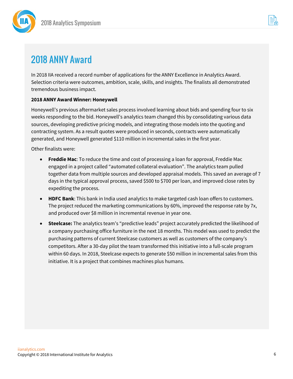



# 2018 ANNY Award

In 2018 IIA received a record number of applications for the ANNY Excellence in Analytics Award. Selection criteria were outcomes, ambition, scale, skills, and insights. The finalists all demonstrated tremendous business impact.

#### **2018 ANNY Award Winner: Honeywell**

Honeywell's previous aftermarket sales process involved learning about bids and spending four to six weeks responding to the bid. Honeywell's analytics team changed this by consolidating various data sources, developing predictive pricing models, and integrating those models into the quoting and contracting system. As a result quotes were produced in seconds, contracts were automatically generated, and Honeywell generated \$110 million in incremental sales in the first year.

Other finalists were:

- **Freddie Mac**: To reduce the time and cost of processing a loan for approval, Freddie Mac engaged in a project called "automated collateral evaluation". The analytics team pulled together data from multiple sources and developed appraisal models. This saved an average of 7 days in the typical approval process, saved \$500 to \$700 per loan, and improved close rates by expediting the process.
- **HDFC Bank**: This bank in India used analytics to make targeted cash loan offers to customers. The project reduced the marketing communications by 60%, improved the response rate by 7x, and produced over \$8 million in incremental revenue in year one.
- **Steelcase:** The analytics team's "predictive leads" project accurately predicted the likelihood of a company purchasing office furniture in the next 18 months. This model was used to predict the purchasing patterns of current Steelcase customers as well as customers of the company's competitors. After a 30-day pilot the team transformed this initiative into a full-scale program within 60 days. In 2018, Steelcase expects to generate \$50 million in incremental sales from this initiative. It is a project that combines machines plus humans.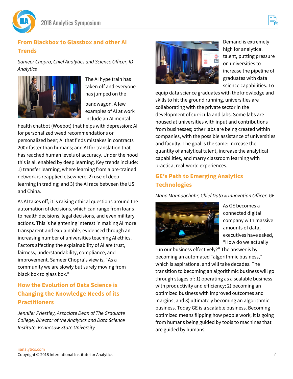

## **From Blackbox to Glassbox and other AI Trends**

*Sameer Chopra, Chief Analytics and Science Officer, ID Analytics*



The AI hype train has taken off and everyone has jumped on the

bandwagon. A few examples of AI at work include an AI mental

health chatbot (Woebot) that helps with depression; AI for personalized weed recommendations or personalized beer; AI that finds mistakes in contracts 200x faster than humans; and AI for translation that has reached human levels of accuracy. Under the hood this is all enabled by deep learning. Key trends include: 1) transfer learning, where learning from a pre-trained network is reapplied elsewhere; 2) use of deep learning in trading; and 3) the AI race between the US and China.

As AI takes off, it is raising ethical questions around the automation of decisions, which can range from loans to health decisions, legal decisions, and even military actions. This is heightening interest in making AI more transparent and explainable, evidenced through an increasing number of universities teaching AI ethics. Factors affecting the explainability of AI are trust, fairness, understandability, compliance, and improvement. Sameer Chopra's view is, "As a community we are slowly but surely moving from black box to glass box."

## **How the Evolution of Data Science is Changing the Knowledge Needs of its Practitioners**

*Jennifer Priestley, Associate Dean of The Graduate College, Director of the Analytics and Data Science Institute, Kennesaw State University*



Demand is extremely high for analytical talent, putting pressure on universities to increase the pipeline of graduates with data science capabilities. To

equip data science graduates with the knowledge and skills to hit the ground running, universities are collaborating with the private sector in the development of curricula and labs. Some labs are housed at universities with input and contributions from businesses; other labs are being created within companies, with the possible assistance of universities and faculty. The goal is the same: increase the quantity of analytical talent, increase the analytical capabilities, and marry classroom learning with practical real-world experiences.

# **GE's Path to Emerging Analytics Technologies**

*Mano Mannoochahr, Chief Data & Innovation Officer, GE*



As GE becomes a connected digital company with massive amounts of data, executives have asked, "How do we actually

run our business effectively?" The answer is by becoming an automated "algorithmic business," which is aspirational and will take decades. The transition to becoming an algorithmic business will go through stages of: 1) operating as a scalable business with productivity and efficiency; 2) becoming an optimized business with improved outcomes and margins; and 3) ultimately becoming an algorithmic business. Today GE is a scalable business. Becoming optimized means flipping how people work; it is going from humans being guided by tools to machines that are guided by humans.